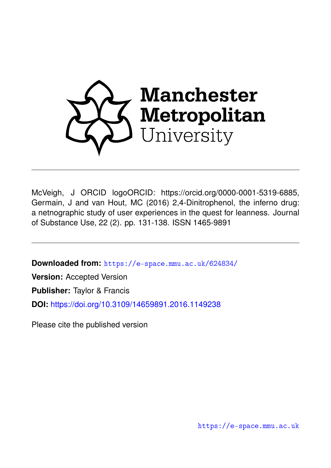

McVeigh, J ORCID logoORCID: https://orcid.org/0000-0001-5319-6885, Germain, J and van Hout, MC (2016) 2,4-Dinitrophenol, the inferno drug: a netnographic study of user experiences in the quest for leanness. Journal of Substance Use, 22 (2). pp. 131-138. ISSN 1465-9891

**Downloaded from:** <https://e-space.mmu.ac.uk/624834/>

**Version:** Accepted Version

**Publisher:** Taylor & Francis

**DOI:** <https://doi.org/10.3109/14659891.2016.1149238>

Please cite the published version

<https://e-space.mmu.ac.uk>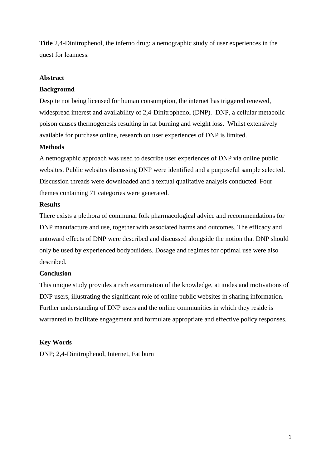**Title** 2,4-Dinitrophenol, the inferno drug: a netnographic study of user experiences in the quest for leanness.

## **Abstract**

## **Background**

Despite not being licensed for human consumption, the internet has triggered renewed, widespread interest and availability of 2,4-Dinitrophenol (DNP). DNP, a cellular metabolic poison causes thermogenesis resulting in fat burning and weight loss. Whilst extensively available for purchase online, research on user experiences of DNP is limited.

### **Methods**

A netnographic approach was used to describe user experiences of DNP via online public websites. Public websites discussing DNP were identified and a purposeful sample selected. Discussion threads were downloaded and a textual qualitative analysis conducted. Four themes containing 71 categories were generated.

## **Results**

There exists a plethora of communal folk pharmacological advice and recommendations for DNP manufacture and use, together with associated harms and outcomes. The efficacy and untoward effects of DNP were described and discussed alongside the notion that DNP should only be used by experienced bodybuilders. Dosage and regimes for optimal use were also described.

# **Conclusion**

This unique study provides a rich examination of the knowledge, attitudes and motivations of DNP users, illustrating the significant role of online public websites in sharing information. Further understanding of DNP users and the online communities in which they reside is warranted to facilitate engagement and formulate appropriate and effective policy responses.

# **Key Words**

DNP; 2,4-Dinitrophenol, Internet, Fat burn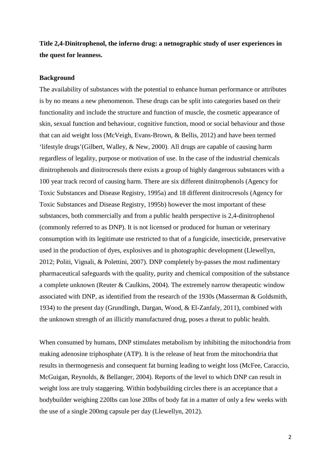**Title 2,4-Dinitrophenol, the inferno drug: a netnographic study of user experiences in the quest for leanness.**

#### **Background**

The availability of substances with the potential to enhance human performance or attributes is by no means a new phenomenon. These drugs can be split into categories based on their functionality and include the structure and function of muscle, the cosmetic appearance of skin, sexual function and behaviour, cognitive function, mood or social behaviour and those that can aid weight loss (McVeigh, Evans-Brown, & Bellis, 2012) and have been termed 'lifestyle drugs'(Gilbert, Walley, & New, 2000). All drugs are capable of causing harm regardless of legality, purpose or motivation of use. In the case of the industrial chemicals dinitrophenols and dinitrocresols there exists a group of highly dangerous substances with a 100 year track record of causing harm. There are six different dinitrophenols (Agency for Toxic Substances and Disease Registry, 1995a) and 18 different dinitrocresols (Agency for Toxic Substances and Disease Registry, 1995b) however the most important of these substances, both commercially and from a public health perspective is 2,4-dinitrophenol (commonly referred to as DNP). It is not licensed or produced for human or veterinary consumption with its legitimate use restricted to that of a fungicide, insecticide, preservative used in the production of dyes, explosives and in photographic development (Llewellyn, 2012; Politi, Vignali, & Polettini, 2007). DNP completely by-passes the most rudimentary pharmaceutical safeguards with the quality, purity and chemical composition of the substance a complete unknown (Reuter & Caulkins, 2004). The extremely narrow therapeutic window associated with DNP, as identified from the research of the 1930s (Masserman & Goldsmith, 1934) to the present day (Grundlingh, Dargan, Wood, & El-Zanfaly, 2011), combined with the unknown strength of an illicitly manufactured drug, poses a threat to public health.

When consumed by humans, DNP stimulates metabolism by inhibiting the mitochondria from making adenosine triphosphate (ATP). It is the release of heat from the mitochondria that results in thermogenesis and consequent fat burning leading to weight loss (McFee, Caraccio, McGuigan, Reynolds, & Bellanger, 2004). Reports of the level to which DNP can result in weight loss are truly staggering. Within bodybuilding circles there is an acceptance that a bodybuilder weighing 220lbs can lose 20lbs of body fat in a matter of only a few weeks with the use of a single 200mg capsule per day (Llewellyn, 2012).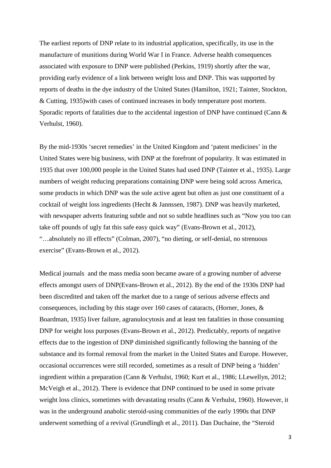The earliest reports of DNP relate to its industrial application, specifically, its use in the manufacture of munitions during World War I in France. Adverse health consequences associated with exposure to DNP were published (Perkins, 1919) shortly after the war, providing early evidence of a link between weight loss and DNP. This was supported by reports of deaths in the dye industry of the United States (Hamilton, 1921; Tainter, Stockton, & Cutting, 1935)with cases of continued increases in body temperature post mortem. Sporadic reports of fatalities due to the accidental ingestion of DNP have continued (Cann & Verhulst, 1960).

By the mid-1930s 'secret remedies' in the United Kingdom and 'patent medicines' in the United States were big business, with DNP at the forefront of popularity. It was estimated in 1935 that over 100,000 people in the United States had used DNP (Tainter et al., 1935). Large numbers of weight reducing preparations containing DNP were being sold across America, some products in which DNP was the sole active agent but often as just one constituent of a cocktail of weight loss ingredients (Hecht & Jannssen, 1987). DNP was heavily marketed, with newspaper adverts featuring subtle and not so subtle headlines such as "Now you too can take off pounds of ugly fat this safe easy quick way" (Evans-Brown et al., 2012), "…absolutely no ill effects" (Colman, 2007), "no dieting, or self-denial, no strenuous exercise" (Evans-Brown et al., 2012).

Medical journals and the mass media soon became aware of a growing number of adverse effects amongst users of DNP(Evans-Brown et al., 2012). By the end of the 1930s DNP had been discredited and taken off the market due to a range of serious adverse effects and consequences, including by this stage over 160 cases of cataracts, (Horner, Jones, & Boardman, 1935) liver failure, agranulocytosis and at least ten fatalities in those consuming DNP for weight loss purposes (Evans-Brown et al., 2012). Predictably, reports of negative effects due to the ingestion of DNP diminished significantly following the banning of the substance and its formal removal from the market in the United States and Europe. However, occasional occurrences were still recorded, sometimes as a result of DNP being a 'hidden' ingredient within a preparation (Cann & Verhulst, 1960; Kurt et al., 1986; LLewellyn, 2012; McVeigh et al., 2012). There is evidence that DNP continued to be used in some private weight loss clinics, sometimes with devastating results (Cann & Verhulst, 1960). However, it was in the underground anabolic steroid-using communities of the early 1990s that DNP underwent something of a revival (Grundlingh et al., 2011). Dan Duchaine, the "Steroid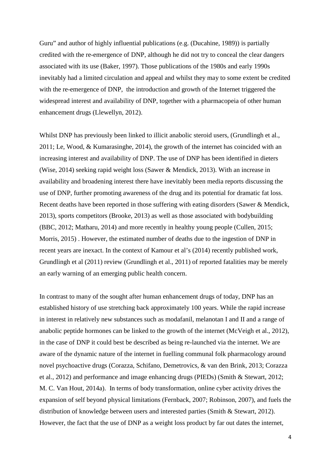Guru" and author of highly influential publications (e.g. (Ducahine, 1989)) is partially credited with the re-emergence of DNP, although he did not try to conceal the clear dangers associated with its use (Baker, 1997). Those publications of the 1980s and early 1990s inevitably had a limited circulation and appeal and whilst they may to some extent be credited with the re-emergence of DNP, the introduction and growth of the Internet triggered the widespread interest and availability of DNP, together with a pharmacopeia of other human enhancement drugs (Llewellyn, 2012).

Whilst DNP has previously been linked to illicit anabolic steroid users, (Grundlingh et al., 2011; Le, Wood, & Kumarasinghe, 2014), the growth of the internet has coincided with an increasing interest and availability of DNP. The use of DNP has been identified in dieters (Wise, 2014) seeking rapid weight loss (Sawer & Mendick, 2013). With an increase in availability and broadening interest there have inevitably been media reports discussing the use of DNP, further promoting awareness of the drug and its potential for dramatic fat loss. Recent deaths have been reported in those suffering with eating disorders (Sawer & Mendick, 2013), sports competitors (Brooke, 2013) as well as those associated with bodybuilding (BBC, 2012; Matharu, 2014) and more recently in healthy young people (Cullen, 2015; Morris, 2015) . However, the estimated number of deaths due to the ingestion of DNP in recent years are inexact. In the context of Kamour et al's (2014) recently published work, Grundlingh et al (2011) review (Grundlingh et al., 2011) of reported fatalities may be merely an early warning of an emerging public health concern.

In contrast to many of the sought after human enhancement drugs of today, DNP has an established history of use stretching back approximately 100 years. While the rapid increase in interest in relatively new substances such as modafanil, melanotan I and II and a range of anabolic peptide hormones can be linked to the growth of the internet (McVeigh et al., 2012), in the case of DNP it could best be described as being re-launched via the internet. We are aware of the dynamic nature of the internet in fuelling communal folk pharmacology around novel psychoactive drugs (Corazza, Schifano, Demetrovics, & van den Brink, 2013; Corazza et al., 2012) and performance and image enhancing drugs (PIEDs) (Smith & Stewart, 2012; M. C. Van Hout, 2014a). In terms of body transformation, online cyber activity drives the expansion of self beyond physical limitations (Fernback, 2007; Robinson, 2007), and fuels the distribution of knowledge between users and interested parties (Smith & Stewart, 2012). However, the fact that the use of DNP as a weight loss product by far out dates the internet,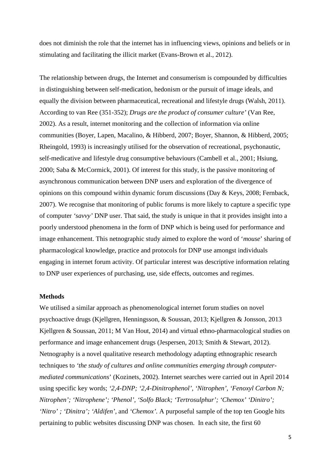does not diminish the role that the internet has in influencing views, opinions and beliefs or in stimulating and facilitating the illicit market (Evans-Brown et al., 2012).

The relationship between drugs, the Internet and consumerism is compounded by difficulties in distinguishing between self-medication, hedonism or the pursuit of image ideals, and equally the division between pharmaceutical, recreational and lifestyle drugs (Walsh, 2011). According to van Ree (351-352); *Drugs are the product of consumer culture'* (Van Ree, 2002). As a result, internet monitoring and the collection of information via online communities (Boyer, Lapen, Macalino, & Hibberd, 2007; Boyer, Shannon, & Hibberd, 2005; Rheingold, 1993) is increasingly utilised for the observation of recreational, psychonautic, self-medicative and lifestyle drug consumptive behaviours (Cambell et al., 2001; Hsiung, 2000; Saba & McCormick, 2001). Of interest for this study, is the passive monitoring of asynchronous communication between DNP users and exploration of the divergence of opinions on this compound within dynamic forum discussions (Day & Keys, 2008; Fernback, 2007). We recognise that monitoring of public forums is more likely to capture a specific type of computer *'savvy'* DNP user. That said, the study is unique in that it provides insight into a poorly understood phenomena in the form of DNP which is being used for performance and image enhancement. This netnographic study aimed to explore the word of '*mouse*' sharing of pharmacological knowledge, practice and protocols for DNP use amongst individuals engaging in internet forum activity. Of particular interest was descriptive information relating to DNP user experiences of purchasing, use, side effects, outcomes and regimes.

#### **Methods**

We utilised a similar approach as phenomenological internet forum studies on novel psychoactive drugs (Kjellgren, Henningsson, & Soussan, 2013; Kjellgren & Jonsson, 2013 Kjellgren & Soussan, 2011; M Van Hout, 2014) and virtual ethno-pharmacological studies on performance and image enhancement drugs (Jespersen, 2013; Smith & Stewart, 2012). Netnography is a novel qualitative research methodology adapting ethnographic research techniques to *'the study of cultures and online communities emerging through computermediated communications*' (Kozinets, 2002). Internet searches were carried out in April 2014 using specific key words; *'2,4-DNP; '2,4-Dinitrophenol', 'Nitrophen', 'Fenoxyl Carbon N; Nitrophen'; 'Nitrophene'; 'Phenol', 'Solfo Black; 'Tertrosulphur'; 'Chemox' 'Dinitro'; 'Nitro' ; 'Dinitra'; 'Aldifen',* and *'Chemox'.* A purposeful sample of the top ten Google hits pertaining to public websites discussing DNP was chosen. In each site, the first 60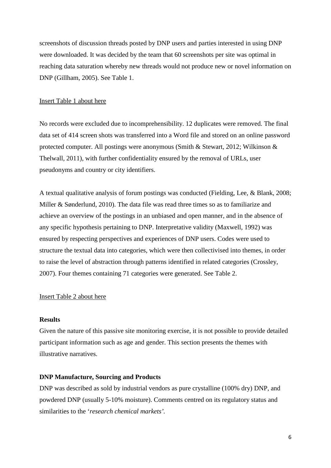screenshots of discussion threads posted by DNP users and parties interested in using DNP were downloaded. It was decided by the team that 60 screenshots per site was optimal in reaching data saturation whereby new threads would not produce new or novel information on DNP (Gillham, 2005). See Table 1.

## Insert Table 1 about here

No records were excluded due to incomprehensibility. 12 duplicates were removed. The final data set of 414 screen shots was transferred into a Word file and stored on an online password protected computer. All postings were anonymous (Smith & Stewart, 2012; Wilkinson & Thelwall, 2011), with further confidentiality ensured by the removal of URLs, user pseudonyms and country or city identifiers.

A textual qualitative analysis of forum postings was conducted (Fielding, Lee, & Blank, 2008; Miller & Sønderlund, 2010). The data file was read three times so as to familiarize and achieve an overview of the postings in an unbiased and open manner, and in the absence of any specific hypothesis pertaining to DNP. Interpretative validity (Maxwell, 1992) was ensured by respecting perspectives and experiences of DNP users. Codes were used to structure the textual data into categories, which were then collectivised into themes, in order to raise the level of abstraction through patterns identified in related categories (Crossley, 2007). Four themes containing 71 categories were generated. See Table 2.

#### Insert Table 2 about here

### **Results**

Given the nature of this passive site monitoring exercise, it is not possible to provide detailed participant information such as age and gender. This section presents the themes with illustrative narratives.

### **DNP Manufacture, Sourcing and Products**

DNP was described as sold by industrial vendors as pure crystalline (100% dry) DNP, and powdered DNP (usually 5-10% moisture). Comments centred on its regulatory status and similarities to the '*research chemical markets'.*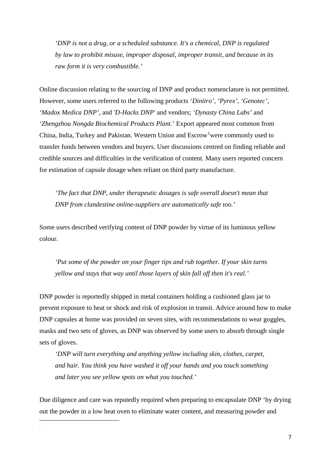*'DNP is not a drug, or a scheduled substance. It's a chemical, DNP is regulated by law to prohibit misuse, improper disposal, improper transit, and because in its raw form it is very combustible.'* 

Online discussion relating to the sourcing of DNP and product nomenclature is not permitted. However, some users referred to the following products '*Dinitro', 'Pyrex', 'Genotec', 'Madox Medica DNP'*, and *'D-Hacks DNP'* and vendors; *'Dynasty China Labs'* and *'Zhengzhou Nongda Biochemical Products Plant.*' Export appeared most common from China, India, Turkey and Pakistan. Western Union and Escrow<sup>[1](#page-7-0)</sup>were commonly used to transfer funds between vendors and buyers. User discussions centred on finding reliable and credible sources and difficulties in the verification of content. Many users reported concern for estimation of capsule dosage when reliant on third party manufacture.

*'The fact that DNP, under therapeutic dosages is safe overall doesn't mean that DNP from clandestine online-suppliers are automatically safe too.'*

Some users described verifying content of DNP powder by virtue of its luminous yellow colour.

*'Put some of the powder on your finger tips and rub together. If your skin turns yellow and stays that way until those layers of skin fall off then it's real.'* 

DNP powder is reportedly shipped in metal containers holding a cushioned glass jar to prevent exposure to heat or shock and risk of explosion in transit. Advice around how to make DNP capsules at home was provided on seven sites, with recommendations to wear goggles, masks and two sets of gloves, as DNP was observed by some users to absorb through single sets of gloves.

*'DNP will turn everything and anything yellow including skin, clothes, carpet, and hair. You think you have washed it off your hands and you touch something and later you see yellow spots on what you touched.'*

Due diligence and care was reputedly required when preparing to encapsulate DNP 'by drying out the powder in a low heat oven to eliminate water content, and measuring powder and

<span id="page-7-0"></span>**.** .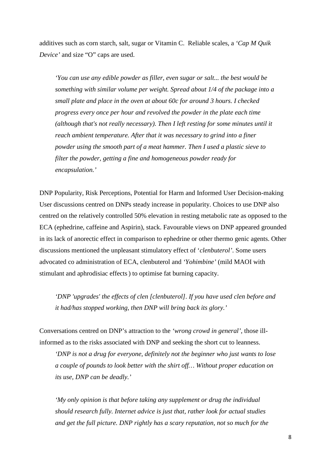additives such as corn starch, salt, sugar or Vitamin C. Reliable scales, a *'Cap M Quik Device'* and size "O" caps are used.

*'You can use any edible powder as filler, even sugar or salt... the best would be something with similar volume per weight. Spread about 1/4 of the package into a small plate and place in the oven at about 60c for around 3 hours. I checked progress every once per hour and revolved the powder in the plate each time (although that's not really necessary). Then I left resting for some minutes until it reach ambient temperature. After that it was necessary to grind into a finer powder using the smooth part of a meat hammer. Then I used a plastic sieve to filter the powder, getting a fine and homogeneous powder ready for encapsulation.'*

DNP Popularity, Risk Perceptions, Potential for Harm and Informed User Decision-making User discussions centred on DNPs steady increase in popularity. Choices to use DNP also centred on the relatively controlled 50% elevation in resting metabolic rate as opposed to the ECA (ephedrine, caffeine and Aspirin), stack. Favourable views on DNP appeared grounded in its lack of anorectic effect in comparison to ephedrine or other thermo genic agents. Other discussions mentioned the unpleasant stimulatory effect of '*clenbuterol'*. Some users advocated co administration of ECA, clenbuterol and *'Yohimbine'* (mild MAOI with stimulant and aphrodisiac effects) to optimise fat burning capacity.

*'DNP 'upgrades' the effects of clen [clenbuterol]. If you have used clen before and it had/has stopped working, then DNP will bring back its glory.'*

Conversations centred on DNP's attraction to the *'wrong crowd in general'*, those illinformed as to the risks associated with DNP and seeking the short cut to leanness.

*'DNP is not a drug for everyone, definitely not the beginner who just wants to lose a couple of pounds to look better with the shirt off… Without proper education on its use, DNP can be deadly.'*

*'My only opinion is that before taking any supplement or drug the individual should research fully. Internet advice is just that, rather look for actual studies and get the full picture. DNP rightly has a scary reputation, not so much for the*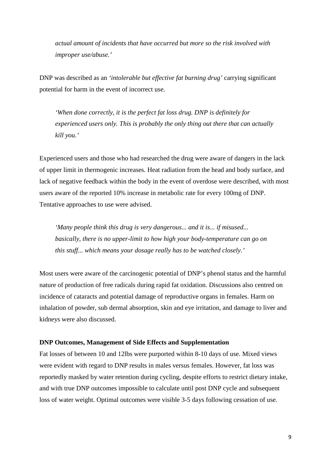*actual amount of incidents that have occurred but more so the risk involved with improper use/abuse.'*

DNP was described as an *'intolerable but effective fat burning drug'* carrying significant potential for harm in the event of incorrect use.

*'When done correctly, it is the perfect fat loss drug. DNP is definitely for experienced users only. This is probably the only thing out there that can actually kill you.'*

Experienced users and those who had researched the drug were aware of dangers in the lack of upper limit in thermogenic increases*.* Heat radiation from the head and body surface, and lack of negative feedback within the body in the event of overdose were described, with most users aware of the reported 10% increase in metabolic rate for every 100mg of DNP. Tentative approaches to use were advised.

*'Many people think this drug is very dangerous... and it is... if misused... basically, there is no upper-limit to how high your body-temperature can go on this stuff... which means your dosage really has to be watched closely.'*

Most users were aware of the carcinogenic potential of DNP's phenol status and the harmful nature of production of free radicals during rapid fat oxidation. Discussions also centred on incidence of cataracts and potential damage of reproductive organs in females. Harm on inhalation of powder, sub dermal absorption, skin and eye irritation, and damage to liver and kidneys were also discussed.

### **DNP Outcomes, Management of Side Effects and Supplementation**

Fat losses of between 10 and 12lbs were purported within 8-10 days of use. Mixed views were evident with regard to DNP results in males versus females. However, fat loss was reportedly masked by water retention during cycling, despite efforts to restrict dietary intake, and with true DNP outcomes impossible to calculate until post DNP cycle and subsequent loss of water weight. Optimal outcomes were visible 3-5 days following cessation of use.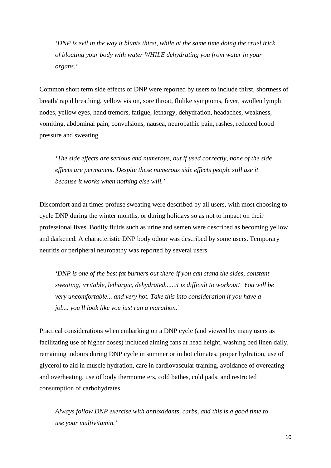*'DNP is evil in the way it blunts thirst, while at the same time doing the cruel trick of bloating your body with water WHILE dehydrating you from water in your organs.'*

Common short term side effects of DNP were reported by users to include thirst, shortness of breath/ rapid breathing, yellow vision, sore throat, flulike symptoms, fever, swollen lymph nodes, yellow eyes, hand tremors, fatigue, lethargy, dehydration, headaches, weakness, vomiting, abdominal pain, convulsions, nausea, neuropathic pain, rashes, reduced blood pressure and sweating.

*'The side effects are serious and numerous, but if used correctly, none of the side*  effects are permanent. Despite these numerous side effects people still use it *because it works when nothing else will.'*

Discomfort and at times profuse sweating were described by all users, with most choosing to cycle DNP during the winter months, or during holidays so as not to impact on their professional lives. Bodily fluids such as urine and semen were described as becoming yellow and darkened. A characteristic DNP body odour was described by some users. Temporary neuritis or peripheral neuropathy was reported by several users.

*'DNP is one of the best fat burners out there-if you can stand the sides, constant sweating, irritable, lethargic, dehydrated......it is difficult to workout! 'You will be very uncomfortable... and very hot. Take this into consideration if you have a job... you'll look like you just ran a marathon.'*

Practical considerations when embarking on a DNP cycle (and viewed by many users as facilitating use of higher doses) included aiming fans at head height, washing bed linen daily, remaining indoors during DNP cycle in summer or in hot climates, proper hydration, use of glycerol to aid in muscle hydration, care in cardiovascular training, avoidance of overeating and overheating, use of body thermometers, cold bathes, cold pads, and restricted consumption of carbohydrates.

*Always follow DNP exercise with antioxidants, carbs, and this is a good time to use your multivitamin.'*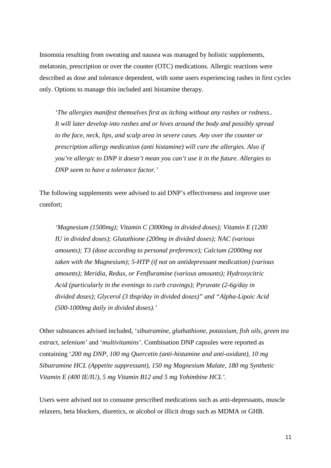Insomnia resulting from sweating and nausea was managed by holistic supplements, melatonin, prescription or over the counter (OTC) medications. Allergic reactions were described as dose and tolerance dependent, with some users experiencing rashes in first cycles only. Options to manage this included anti histamine therapy.

*'The allergies manifest themselves first as itching without any rashes or redness.. It will later develop into rashes and or hives around the body and possibly spread to the face, neck, lips, and scalp area in severe cases. Any over the counter or prescription allergy medication (anti histamine) will cure the allergies. Also if you're allergic to DNP it doesn't mean you can't use it in the future. Allergies to DNP seem to have a tolerance factor.'*

The following supplements were advised to aid DNP's effectiveness and improve user comfort;

*'Magnesium (1500mg); Vitamin C (3000mg in divided doses); Vitamin E (1200 IU in divided doses); Glutathione (200mg in divided doses); NAC (various amounts); T3 (dose according to personal preference); Calcium (2000mg not taken with the Magnesium); 5-HTP (if not on antidepressant medication) (various amounts); Meridia, Redux, or Fenfluramine (various amounts); Hydroxycitric Acid (particularly in the evenings to curb cravings); Pyruvate (2-6g/day in divided doses); Glycerol (3 tbsp/day in divided doses)" and "Alpha-Lipoic Acid (500-1000mg daily in divided doses).'*

Other substances advised included, '*sibutramine, gluthathione, potassium, fish oils, green tea extract, selenium'* and '*multivitamins'*. Combination DNP capsules were reported as containing '*200 mg DNP, 100 mg Quercetin (anti-histamine and anti-oxidant), 10 mg Sibutramine HCL (Appetite suppressant), 150 mg Magnesium Malate, 180 mg Synthetic Vitamin E (400 IE/IU), 5 mg Vitamin B12 and 5 mg Yohimbine HCL'.* 

Users were advised not to consume prescribed medications such as anti-depressants, muscle relaxers, beta blockers, diuretics, or alcohol or illicit drugs such as MDMA or GHB.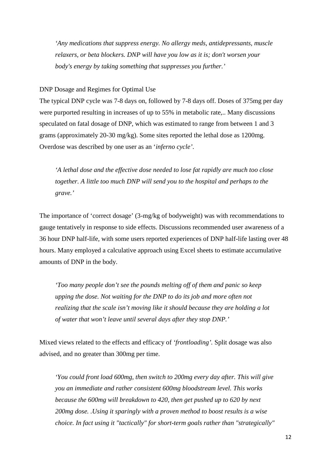*'Any medications that suppress energy. No allergy meds, antidepressants, muscle relaxers, or beta blockers. DNP will have you low as it is; don't worsen your body's energy by taking something that suppresses you further.'* 

DNP Dosage and Regimes for Optimal Use

The typical DNP cycle was 7-8 days on, followed by 7-8 days off. Doses of 375mg per day were purported resulting in increases of up to 55% in metabolic rate,.. Many discussions speculated on fatal dosage of DNP, which was estimated to range from between 1 and 3 grams (approximately 20-30 mg/kg). Some sites reported the lethal dose as 1200mg. Overdose was described by one user as an '*inferno cycle'*.

*'A lethal dose and the effective dose needed to lose fat rapidly are much too close together. A little too much DNP will send you to the hospital and perhaps to the grave.'*

The importance of 'correct dosage' (3-mg/kg of bodyweight) was with recommendations to gauge tentatively in response to side effects. Discussions recommended user awareness of a 36 hour DNP half-life, with some users reported experiences of DNP half-life lasting over 48 hours. Many employed a calculative approach using Excel sheets to estimate accumulative amounts of DNP in the body.

*'Too many people don't see the pounds melting off of them and panic so keep upping the dose. Not waiting for the DNP to do its job and more often not realizing that the scale isn't moving like it should because they are holding a lot of water that won't leave until several days after they stop DNP.'*

Mixed views related to the effects and efficacy of *'frontloading'.* Split dosage was also advised, and no greater than 300mg per time.

*'You could front load 600mg, then switch to 200mg every day after. This will give you an immediate and rather consistent 600mg bloodstream level. This works because the 600mg will breakdown to 420, then get pushed up to 620 by next 200mg dose. .Using it sparingly with a proven method to boost results is a wise choice. In fact using it "tactically" for short-term goals rather than "strategically"*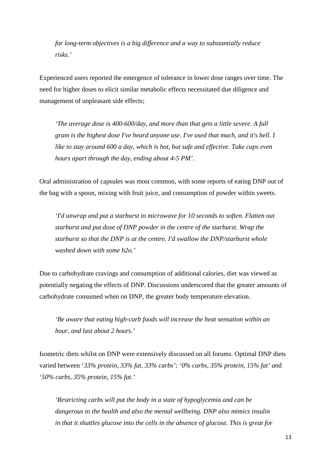*for long-term objectives is a big difference and a way to substantially reduce risks.'*

Experienced users reported the emergence of tolerance in lower dose ranges over time. The need for higher doses to elicit similar metabolic effects necessitated due diligence and management of unpleasant side effects;

*'The average dose is 400-600/day, and more than that gets a little severe. A full gram is the highest dose I've heard anyone use. I've used that much, and it's hell. I like to stay around 600 a day, which is hot, but safe and effective. Take caps even hours apart through the day, ending about 4-5 PM'.* 

Oral administration of capsules was most common, with some reports of eating DNP out of the bag with a spoon, mixing with fruit juice, and consumption of powder within sweets.

*'I'd unwrap and put a starburst in microwave for 10 seconds to soften. Flatten out starburst and put dose of DNP powder in the centre of the starburst. Wrap the starburst so that the DNP is at the centre. I'd swallow the DNP/starburst whole washed down with some h2o.'*

Due to carbohydrate cravings and consumption of additional calories, diet was viewed as potentially negating the effects of DNP. Discussions underscored that the greater amounts of carbohydrate consumed when on DNP, the greater body temperature elevation.

*'Be aware that eating high-carb foods will increase the heat sensation within an hour, and last about 2 hours.'*

Isometric diets whilst on DNP were extensively discussed on all forums. Optimal DNP diets varied between '*33% protein, 33% fat, 33% carbs'; '0% carbs, 35% protein, 15% fat' a*nd '*50% carbs, 35% protein, 15% fat.'* 

*'Restricting carbs will put the body in a state of hypoglycemia and can be dangerous to the health and also the mental wellbeing. DNP also mimics insulin in that it shuttles glucose into the cells in the absence of glucose. This is great for*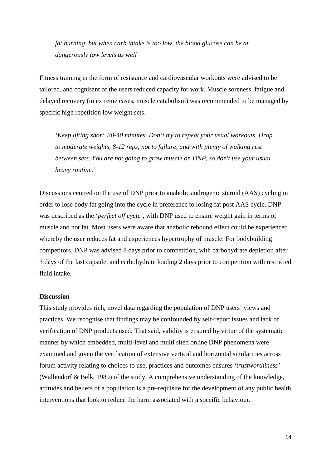*fat burning, but when carb intake is too low, the blood glucose can be at dangerously low levels as well* 

Fitness training in the form of resistance and cardiovascular workouts were advised to be tailored, and cognisant of the users reduced capacity for work. Muscle soreness, fatigue and delayed recovery (in extreme cases, muscle catabolism) was recommended to be managed by specific high repetition low weight sets.

*'Keep lifting short, 30-40 minutes. Don't try to repeat your usual workouts. Drop to moderate weights, 8-12 reps, not to failure, and with plenty of walking rest between sets. You are not going to grow muscle on DNP, so don't use your usual heavy routine.'*

Discussions centred on the use of DNP prior to anabolic androgenic steroid (AAS) cycling in order to lose body fat going into the cycle in preference to losing fat post AAS cycle. DNP was described as the '*perfect off cycle',* with DNP used to ensure weight gain in terms of muscle and not fat. Most users were aware that anabolic rebound effect could be experienced whereby the user reduces fat and experiences hypertrophy of muscle. For bodybuilding competitors, DNP was advised 8 days prior to competition, with carbohydrate depletion after 3 days of the last capsule, and carbohydrate loading 2 days prior to competition with restricted fluid intake.

#### **Discussion**

This study provides rich, novel data regarding the population of DNP users' views and practices. We recognise that findings may be confounded by self-report issues and lack of verification of DNP products used. That said, validity is ensured by virtue of the systematic manner by which embedded, multi-level and multi sited online DNP phenomena were examined and given the verification of extensive vertical and horizontal similarities across forum activity relating to choices to use, practices and outcomes ensures '*trustworthiness'* (Wallendorf & Belk, 1989) of the study. A comprehensive understanding of the knowledge, attitudes and beliefs of a population is a pre-requisite for the development of any public health interventions that look to reduce the harm associated with a specific behaviour.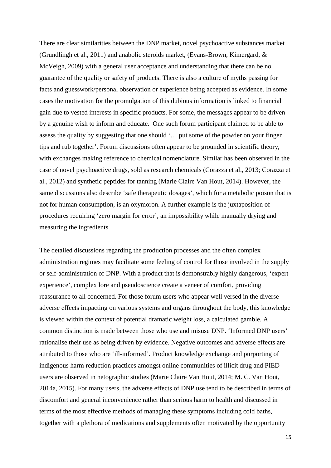There are clear similarities between the DNP market, novel psychoactive substances market (Grundlingh et al., 2011) and anabolic steroids market, (Evans-Brown, Kimergard, & McVeigh, 2009) with a general user acceptance and understanding that there can be no guarantee of the quality or safety of products. There is also a culture of myths passing for facts and guesswork/personal observation or experience being accepted as evidence. In some cases the motivation for the promulgation of this dubious information is linked to financial gain due to vested interests in specific products. For some, the messages appear to be driven by a genuine wish to inform and educate. One such forum participant claimed to be able to assess the quality by suggesting that one should '… put some of the powder on your finger tips and rub together'. Forum discussions often appear to be grounded in scientific theory, with exchanges making reference to chemical nomenclature. Similar has been observed in the case of novel psychoactive drugs, sold as research chemicals (Corazza et al., 2013; Corazza et al., 2012) and synthetic peptides for tanning (Marie Claire Van Hout, 2014). However, the same discussions also describe 'safe therapeutic dosages', which for a metabolic poison that is not for human consumption, is an oxymoron. A further example is the juxtaposition of procedures requiring 'zero margin for error', an impossibility while manually drying and measuring the ingredients.

The detailed discussions regarding the production processes and the often complex administration regimes may facilitate some feeling of control for those involved in the supply or self-administration of DNP. With a product that is demonstrably highly dangerous, 'expert experience', complex lore and pseudoscience create a veneer of comfort, providing reassurance to all concerned. For those forum users who appear well versed in the diverse adverse effects impacting on various systems and organs throughout the body, this knowledge is viewed within the context of potential dramatic weight loss, a calculated gamble. A common distinction is made between those who use and misuse DNP. 'Informed DNP users' rationalise their use as being driven by evidence. Negative outcomes and adverse effects are attributed to those who are 'ill-informed'. Product knowledge exchange and purporting of indigenous harm reduction practices amongst online communities of illicit drug and PIED users are observed in netographic studies (Marie Claire Van Hout, 2014; M. C. Van Hout, 2014a, 2015). For many users, the adverse effects of DNP use tend to be described in terms of discomfort and general inconvenience rather than serious harm to health and discussed in terms of the most effective methods of managing these symptoms including cold baths, together with a plethora of medications and supplements often motivated by the opportunity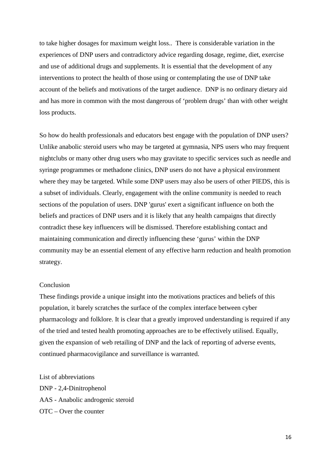to take higher dosages for maximum weight loss.. There is considerable variation in the experiences of DNP users and contradictory advice regarding dosage, regime, diet, exercise and use of additional drugs and supplements. It is essential that the development of any interventions to protect the health of those using or contemplating the use of DNP take account of the beliefs and motivations of the target audience. DNP is no ordinary dietary aid and has more in common with the most dangerous of 'problem drugs' than with other weight loss products.

So how do health professionals and educators best engage with the population of DNP users? Unlike anabolic steroid users who may be targeted at gymnasia, NPS users who may frequent nightclubs or many other drug users who may gravitate to specific services such as needle and syringe programmes or methadone clinics, DNP users do not have a physical environment where they may be targeted. While some DNP users may also be users of other PIEDS, this is a subset of individuals. Clearly, engagement with the online community is needed to reach sections of the population of users. DNP 'gurus' exert a significant influence on both the beliefs and practices of DNP users and it is likely that any health campaigns that directly contradict these key influencers will be dismissed. Therefore establishing contact and maintaining communication and directly influencing these 'gurus' within the DNP community may be an essential element of any effective harm reduction and health promotion strategy.

#### Conclusion

These findings provide a unique insight into the motivations practices and beliefs of this population, it barely scratches the surface of the complex interface between cyber pharmacology and folklore. It is clear that a greatly improved understanding is required if any of the tried and tested health promoting approaches are to be effectively utilised. Equally, given the expansion of web retailing of DNP and the lack of reporting of adverse events, continued pharmacovigilance and surveillance is warranted.

List of abbreviations DNP - 2,4-Dinitrophenol AAS - Anabolic androgenic steroid OTC – Over the counter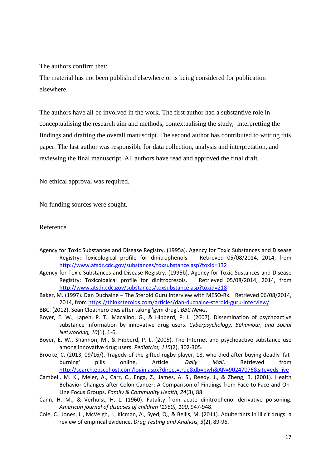The authors confirm that:

The material has not been published elsewhere or is being considered for publication elsewhere.

The authors have all be involved in the work. The first author had a substantive role in conceptualising the research aim and methods, contextualising the study, interpretting the findings and drafting the overall manuscript. The second author has contributed to writing this paper. The last author was responsible for data collection, analysis and interpretation, and reviewing the final manuscript. All authors have read and approved the final draft.

No ethical approval was required,

No funding sources were sought.

### Reference

- Agency for Toxic Substances and Disease Registry. (1995a). Agency for Toxic Substances and Disease Registry: Toxicological profile for dinitrophenols. Retrieved 05/08/2014, 2014, from <http://www.atsdr.cdc.gov/substances/toxsubstance.asp?toxid=132>
- Agency for Toxic Substances and Disease Registry. (1995b). Agency for Toxic Sustances and Disease Registry: Toxicological profile for dinitrocresols. Retrieved 05/08/2014, 2014, from <http://www.atsdr.cdc.gov/substances/toxsubstance.asp?toxid=218>
- Baker, M. (1997). Dan Duchaine The Steroid Guru Interview with MESO-Rx. Retrieved 06/08/2014, 2014, fro[m https://thinksteroids.com/articles/dan-duchaine-steroid-guru-interview/](https://thinksteroids.com/articles/dan-duchaine-steroid-guru-interview/)
- BBC. (2012). Sean Cleathero dies after taking 'gym drug'. *BBC News*.
- Boyer, E. W., Lapen, P. T., Macalino, G., & Hibberd, P. L. (2007). Dissemination of psychoactive substance information by innovative drug users. *Cyberpsychology, Behaviour, and Social Networking, 10*(1), 1-6.
- Boyer, E. W., Shannon, M., & Hibberd, P. L. (2005). The Internet and psychoactive substance use among innovative drug users. *Pediatrics, 115*(2), 302-305.
- Brooke, C. (2013, 09/16/). Tragedy of the gifted rugby player, 18, who died after buying deadly 'fatburning' pills online, Article. *Daily Mail*. Retrieved from <http://search.ebscohost.com/login.aspx?direct=true&db=bwh&AN=90247076&site=eds-live>
- Cambell, M. K., Meier, A., Carr, C., Enga, Z., James, A. S., Reedy, J., & Zheng, B. (2001). Health Behavior Changes after Colon Cancer: A Comparison of Findings from Face-to-Face and On-Line Focus Groups. *Family & Community Health, 24*(3), 88.
- Cann, H. M., & Verhulst, H. L. (1960). Fatality from acute dinitrophenol derivative poisoning. *American journal of diseases of children (1960), 100*, 947-948.
- Cole, C., Jones, L., McVeigh, J., Kicman, A., Syed, Q., & Bellis, M. (2011). Adulterants in illicit drugs: a review of empirical evidence. *Drug Testing and Analysis, 3*(2), 89-96.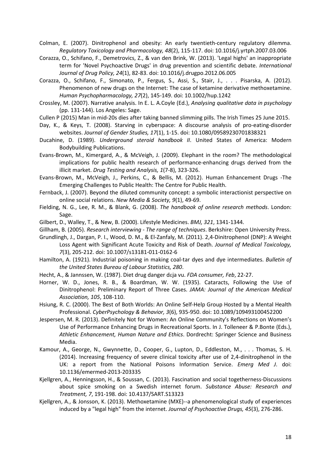Colman, E. (2007). Dinitrophenol and obesity: An early twentieth-century regulatory dilemma. *Regulatory Toxicology and Pharmacology, 48*(2), 115-117. doi: 10.1016/j.yrtph.2007.03.006

Corazza, O., Schifano, F., Demetrovics, Z., & van den Brink, W. (2013). 'Legal highs' an inappropriate term for 'Novel Psychoactive Drugs' in drug prevention and scientific debate. *International Journal of Drug Policy, 24*(1), 82-83. doi: 10.1016/j.drugpo.2012.06.005

Corazza, O., Schifano, F., Simonato, P., Fergus, S., Assi, S., Stair, J., . . . Pisarska, A. (2012). Phenomenon of new drugs on the Internet: The case of ketamine derivative methoxetamine. *Human Psychopharmacology, 27*(2), 145-149. doi: 10.1002/hup.1242

Crossley, M. (2007). Narrative analysis. In E. L. A.Coyle (Ed.), *Analysing qualitative data in psychology* (pp. 131-144). Los Angeles: Sage.

Cullen P (2015) Man in mid-20s dies after taking banned slimming pills. The Irish Times 25 June 2015.

Day, K., & Keys, T. (2008). Starving in cyberspace: A discourse analysis of pro-eating-disorder websites. *Journal of Gender Studies, 17*(1), 1-15. doi: 10.1080/09589230701838321

Ducahine, D. (1989). *Underground steroid handbook II*. United States of America: Modern Bodybuilding Publications.

Evans-Brown, M., Kimergard, A., & McVeigh, J. (2009). Elephant in the room? The methodological implications for public health research of performance-enhancing drugs derived from the illicit market. *Drug Testing and Analysis, 1*(7-8), 323-326.

Evans-Brown, M., McVeigh, J., Perkins, C., & Bellis, M. (2012). Human Enhancement Drugs -The Emerging Challenges to Public Health: The Centre for Public Health.

Fernback, J. (2007). Beyond the diluted community concept: a symbolic interactionist perspective on online social relations. *New Media & Society, 9*(1), 49-69.

Fielding, N. G., Lee, R. M., & Blank, G. (2008). *The handbook of online research methods*. London: Sage.

Gilbert, D., Walley, T., & New, B. (2000). Lifestyle Medicines. *BMJ, 321*, 1341-1344.

Gillham, B. (2005). *Research interviewing - The range of techniques*. Berkshire: Open University Press.

Grundlingh, J., Dargan, P. I., Wood, D. M., & El-Zanfaly, M. (2011). 2,4-Dinitrophenol (DNP): A Weight Loss Agent with Significant Acute Toxicity and Risk of Death. *Journal of Medical Toxicology, 7*(3), 205-212. doi: 10.1007/s13181-011-0162-6

Hamilton, A. (1921). Industrial poisoning in making coal-tar dyes and dye intermediates. *Bulletin of the United States Bureau of Labour Statistics, 280*.

Hecht, A., & Jannssen, W. (1987). Diet drug danger dεja vu. *FDA consumer, Feb*, 22-27.

Horner, W. D., Jones, R. B., & Boardman, W. W. (1935). Cataracts, Following the Use of Dinitrophenol: Preliminary Report of Three Cases. *JAMA: Journal of the American Medical Association, 105*, 108-110.

Hsiung, R. C. (2000). The Best of Both Worlds: An Online Self-Help Group Hosted by a Mental Health Professional. *CyberPsychology & Behavior, 3*(6), 935-950. doi: 10.1089/109493100452200

Jespersen, M. R. (2013). Definitely Not for Women: An Online Community's Reflections on Women's Use of Performance Enhancing Drugs in Recreational Sports. In J. Tolleneer & P.Bonte (Eds.), *Athletic Enhancement, Human Nature and Ethics*. Dordrecht: Springer Science and Business Media.

Kamour, A., George, N., Gwynnette, D., Cooper, G., Lupton, D., Eddleston, M., . . . Thomas, S. H. (2014). Increasing frequency of severe clinical toxicity after use of 2,4-dinitrophenol in the UK: a report from the National Poisons Information Service. *Emerg Med J*. doi: 10.1136/emermed-2013-203335

Kjellgren, A., Henningsson, H., & Soussan, C. (2013). Fascination and social togetherness-Discussions about spice smoking on a Swedish internet forum. *Substance Abuse: Research and Treatment, 7*, 191-198. doi: 10.4137/SART.S13323

Kjellgren, A., & Jonsson, K. (2013). Methoxetamine (MXE)--a phenomenological study of experiences induced by a "legal high" from the internet. *Journal of Psychoactive Drugs, 45*(3), 276-286.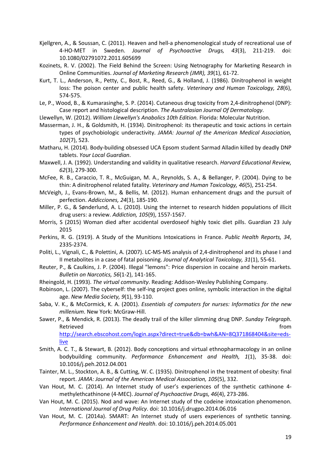- Kjellgren, A., & Soussan, C. (2011). Heaven and hell-a phenomenological study of recreational use of 4-HO-MET in Sweden. *Journal of Psychoactive Drugs, 43*(3), 211-219. doi: 10.1080/02791072.2011.605699
- Kozinets, R. V. (2002). The Field Behind the Screen: Using Netnography for Marketing Research in Online Communities. *Journal of Marketing Research (JMR), 39*(1), 61-72.
- Kurt, T. L., Anderson, R., Petty, C., Bost, R., Reed, G., & Holland, J. (1986). Dinitrophenol in weight loss: The poison center and public health safety. *Veterinary and Human Toxicology, 28*(6), 574-575.
- Le, P., Wood, B., & Kumarasinghe, S. P. (2014). Cutaneous drug toxicity from 2,4-dinitrophenol (DNP): Case report and histological description. *The Australasian Journal Of Dermatology*.
- Llewellyn, W. (2012). *William Llewellyn's Anabolics 10th Edition.* Florida: Molecular Nutrition.
- Masserman, J. H., & Goldsmith, H. (1934). Dinitrophenol: its therapeutic and toxic actions in certain types of psychobiologic underactivity. *JAMA: Journal of the American Medical Association, 102*(7), 523.
- Matharu, H. (2014). Body-building obsessed UCA Epsom student Sarmad Alladin killed by deadly DNP tablets. *Your Local Guardian*.
- Maxwell, J. A. (1992). Understanding and validity in qualitative research. *Harvard Educational Review, 62*(3), 279-300.
- McFee, R. B., Caraccio, T. R., McGuigan, M. A., Reynolds, S. A., & Bellanger, P. (2004). Dying to be thin: A dinitrophenol related fatality. *Veterinary and Human Toxicology, 46*(5), 251-254.
- McVeigh, J., Evans-Brown, M., & Bellis, M. (2012). Human enhancement drugs and the pursuit of perfection. *Addicciones, 24*(3), 185-190.
- Miller, P. G., & Sønderlund, A. L. (2010). Using the internet to research hidden populations of illicit drug users: a review. *Addiction, 105*(9), 1557-1567.
- Morris, S (2015) Woman died after accidental overdoseof highly toxic diet pills. Guardian 23 July 2015
- Perkins, R. G. (1919). A Study of the Munitions Intoxications in France. *Public Health Reports, 34*, 2335-2374.
- Politi, L., Vignali, C., & Polettini, A. (2007). LC-MS-MS analysis of 2,4-dinitrophenol and its phase I and II metabolites in a case of fatal poisoning. *Journal of Analytical Toxicology, 31*(1), 55-61.
- Reuter, P., & Caulkins, J. P. (2004). Illegal "lemons": Price dispersion in cocaine and heroin markets. *Bulletin on Narcotics, 56*(1-2), 141-165.
- Rheingold, H. (1993). *The virtual community*. Reading: Addison-Wesley Publishing Company.
- Robinson, L. (2007). The cyberself: the self-ing project goes online, symbolic interaction in the digital age. *New Media Society, 9*(1), 93-110.
- Saba, V. K., & McCormick, K. A. (2001). *Essentials of computers for nurses: Informatics for the new millenium*. New York: McGraw-Hill.
- Sawer, P., & Mendick, R. (2013). The deadly trail of the killer slimming drug DNP. *Sunday Telegraph*. Retrieved **from** [http://search.ebscohost.com/login.aspx?direct=true&db=bwh&AN=8Q371868404&site=eds](http://search.ebscohost.com/login.aspx?direct=true&db=bwh&AN=8Q371868404&site=eds-live)[live](http://search.ebscohost.com/login.aspx?direct=true&db=bwh&AN=8Q371868404&site=eds-live)
- Smith, A. C. T., & Stewart, B. (2012). Body conceptions and virtual ethnopharmacology in an online bodybuilding community. *Performance Enhancement and Health, 1*(1), 35-38. doi: 10.1016/j.peh.2012.04.001
- Tainter, M. L., Stockton, A. B., & Cutting, W. C. (1935). Dinitrophenol in the treatment of obesity: final report. *JAMA: Journal of the American Medical Association, 105*(5), 332.
- Van Hout, M. C. (2014). An Internet study of user's experiences of the synthetic cathinone 4 methylethcathinone (4-MEC). *Journal of Psychoactive Drugs, 46*(4), 273-286.
- Van Hout, M. C. (2015). Nod and wave: An Internet study of the codeine intoxication phenomenon. *International Journal of Drug Policy*. doi: 10.1016/j.drugpo.2014.06.016
- Van Hout, M. C. (2014a). SMART: An Internet study of users experiences of synthetic tanning. *Performance Enhancement and Health*. doi: 10.1016/j.peh.2014.05.001